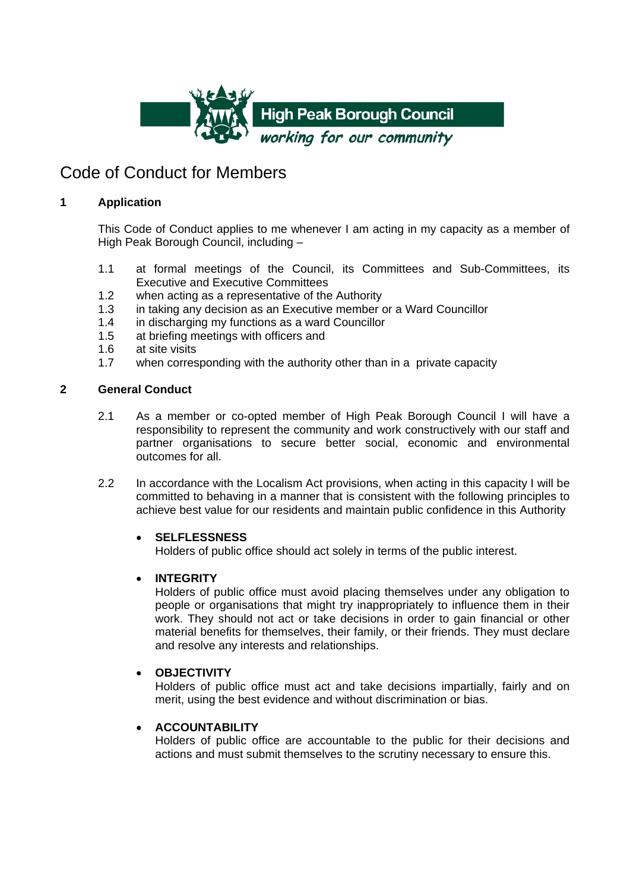

## Code of Conduct for Members

### **1 Application**

This Code of Conduct applies to me whenever I am acting in my capacity as a member of High Peak Borough Council, including –

- 1.1 at formal meetings of the Council, its Committees and Sub-Committees, its Executive and Executive Committees
- 1.2 when acting as a representative of the Authority
- 1.3 in taking any decision as an Executive member or a Ward Councillor
- 1.4 in discharging my functions as a ward Councillor
- 1.5 at briefing meetings with officers and<br>1.6 at site visits
- at site visits
- 1.7 when corresponding with the authority other than in a private capacity

#### **2 General Conduct**

- 2.1 As a member or co-opted member of High Peak Borough Council I will have a responsibility to represent the community and work constructively with our staff and partner organisations to secure better social, economic and environmental outcomes for all.
- 2.2 In accordance with the Localism Act provisions, when acting in this capacity I will be committed to behaving in a manner that is consistent with the following principles to achieve best value for our residents and maintain public confidence in this Authority

#### • **SELFLESSNESS**

Holders of public office should act solely in terms of the public interest.

## • **INTEGRITY**

Holders of public office must avoid placing themselves under any obligation to people or organisations that might try inappropriately to influence them in their work. They should not act or take decisions in order to gain financial or other material benefits for themselves, their family, or their friends. They must declare and resolve any interests and relationships.

#### • **OBJECTIVITY**

Holders of public office must act and take decisions impartially, fairly and on merit, using the best evidence and without discrimination or bias.

## • **ACCOUNTABILITY**

Holders of public office are accountable to the public for their decisions and actions and must submit themselves to the scrutiny necessary to ensure this.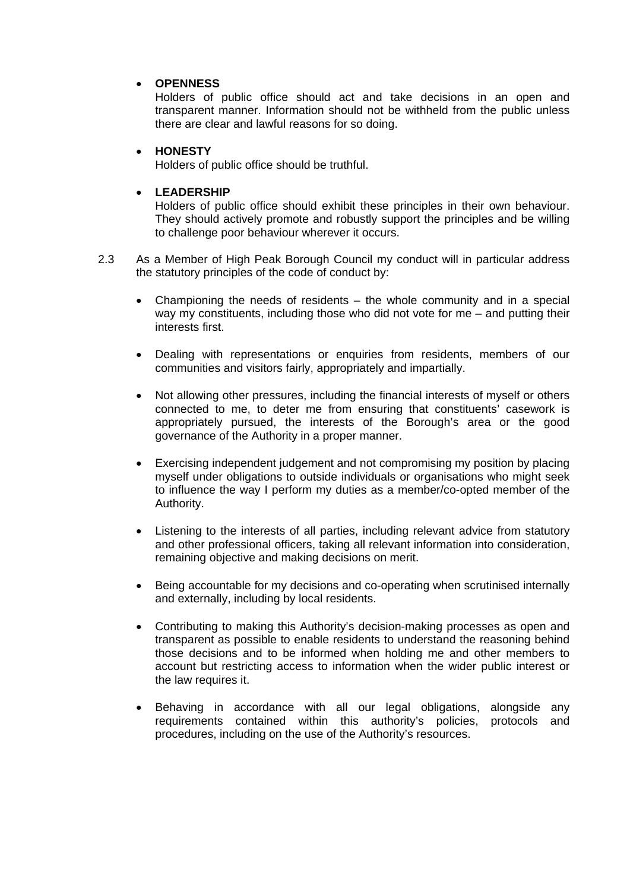#### • **OPENNESS**

Holders of public office should act and take decisions in an open and transparent manner. Information should not be withheld from the public unless there are clear and lawful reasons for so doing.

#### • **HONESTY**

Holders of public office should be truthful.

#### • **LEADERSHIP**

Holders of public office should exhibit these principles in their own behaviour. They should actively promote and robustly support the principles and be willing to challenge poor behaviour wherever it occurs.

- 2.3 As a Member of High Peak Borough Council my conduct will in particular address the statutory principles of the code of conduct by:
	- Championing the needs of residents the whole community and in a special way my constituents, including those who did not vote for me – and putting their interests first.
	- Dealing with representations or enquiries from residents, members of our communities and visitors fairly, appropriately and impartially.
	- Not allowing other pressures, including the financial interests of myself or others connected to me, to deter me from ensuring that constituents' casework is appropriately pursued, the interests of the Borough's area or the good governance of the Authority in a proper manner.
	- Exercising independent judgement and not compromising my position by placing myself under obligations to outside individuals or organisations who might seek to influence the way I perform my duties as a member/co-opted member of the Authority.
	- Listening to the interests of all parties, including relevant advice from statutory and other professional officers, taking all relevant information into consideration, remaining objective and making decisions on merit.
	- Being accountable for my decisions and co-operating when scrutinised internally and externally, including by local residents.
	- Contributing to making this Authority's decision-making processes as open and transparent as possible to enable residents to understand the reasoning behind those decisions and to be informed when holding me and other members to account but restricting access to information when the wider public interest or the law requires it.
	- Behaving in accordance with all our legal obligations, alongside any requirements contained within this authority's policies, protocols and procedures, including on the use of the Authority's resources.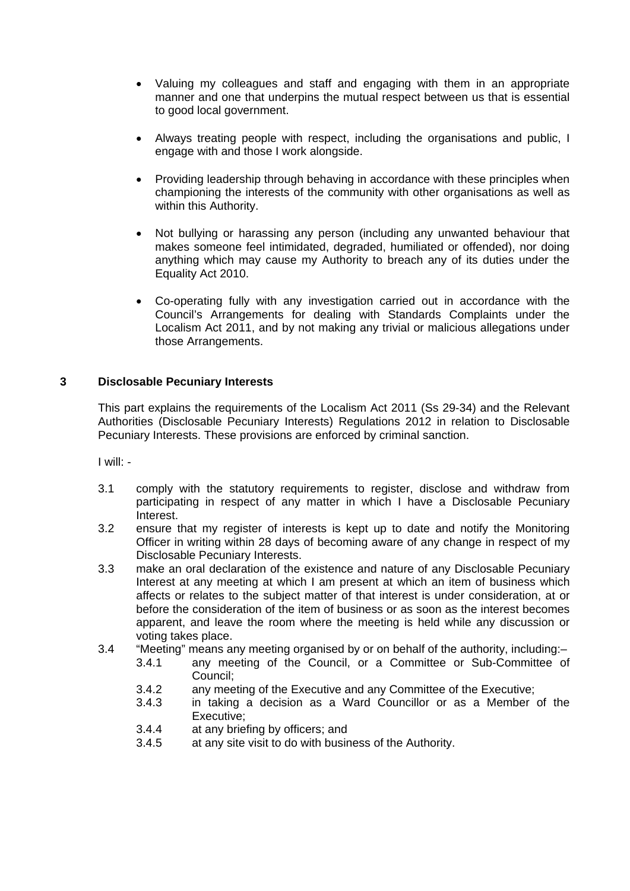- Valuing my colleagues and staff and engaging with them in an appropriate manner and one that underpins the mutual respect between us that is essential to good local government.
- Always treating people with respect, including the organisations and public, I engage with and those I work alongside.
- Providing leadership through behaving in accordance with these principles when championing the interests of the community with other organisations as well as within this Authority.
- Not bullying or harassing any person (including any unwanted behaviour that makes someone feel intimidated, degraded, humiliated or offended), nor doing anything which may cause my Authority to breach any of its duties under the Equality Act 2010.
- Co-operating fully with any investigation carried out in accordance with the Council's Arrangements for dealing with Standards Complaints under the Localism Act 2011, and by not making any trivial or malicious allegations under those Arrangements.

#### **3 Disclosable Pecuniary Interests**

This part explains the requirements of the Localism Act 2011 (Ss 29-34) and the Relevant Authorities (Disclosable Pecuniary Interests) Regulations 2012 in relation to Disclosable Pecuniary Interests. These provisions are enforced by criminal sanction.

I will: -

- 3.1 comply with the statutory requirements to register, disclose and withdraw from participating in respect of any matter in which I have a Disclosable Pecuniary Interest.
- 3.2 ensure that my register of interests is kept up to date and notify the Monitoring Officer in writing within 28 days of becoming aware of any change in respect of my Disclosable Pecuniary Interests.
- 3.3 make an oral declaration of the existence and nature of any Disclosable Pecuniary Interest at any meeting at which I am present at which an item of business which affects or relates to the subject matter of that interest is under consideration, at or before the consideration of the item of business or as soon as the interest becomes apparent, and leave the room where the meeting is held while any discussion or voting takes place.
- 3.4 "Meeting" means any meeting organised by or on behalf of the authority, including:–
	- 3.4.1 any meeting of the Council, or a Committee or Sub-Committee of Council;
	- 3.4.2 any meeting of the Executive and any Committee of the Executive;<br>3.4.3 in taking a decision as a Ward Councillor or as a Member
	- in taking a decision as a Ward Councillor or as a Member of the Executive;
	- 3.4.4 at any briefing by officers; and
	- 3.4.5 at any site visit to do with business of the Authority.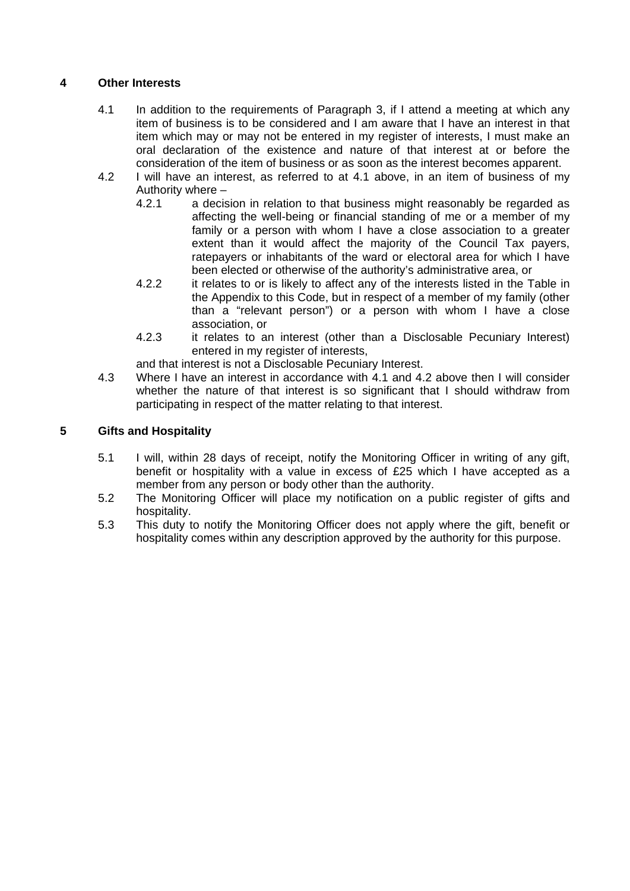#### **4 Other Interests**

- 4.1 In addition to the requirements of Paragraph 3, if I attend a meeting at which any item of business is to be considered and I am aware that I have an interest in that item which may or may not be entered in my register of interests, I must make an oral declaration of the existence and nature of that interest at or before the consideration of the item of business or as soon as the interest becomes apparent.
- 4.2 I will have an interest, as referred to at 4.1 above, in an item of business of my Authority where –<br>4.2.1 a decis
	- a decision in relation to that business might reasonably be regarded as affecting the well-being or financial standing of me or a member of my family or a person with whom I have a close association to a greater extent than it would affect the majority of the Council Tax payers, ratepayers or inhabitants of the ward or electoral area for which I have been elected or otherwise of the authority's administrative area, or
	- 4.2.2 it relates to or is likely to affect any of the interests listed in the Table in the Appendix to this Code, but in respect of a member of my family (other than a "relevant person") or a person with whom I have a close association, or
	- 4.2.3 it relates to an interest (other than a Disclosable Pecuniary Interest) entered in my register of interests,

and that interest is not a Disclosable Pecuniary Interest.

4.3 Where I have an interest in accordance with 4.1 and 4.2 above then I will consider whether the nature of that interest is so significant that I should withdraw from participating in respect of the matter relating to that interest.

#### **5 Gifts and Hospitality**

- 5.1 I will, within 28 days of receipt, notify the Monitoring Officer in writing of any gift, benefit or hospitality with a value in excess of £25 which I have accepted as a member from any person or body other than the authority.
- 5.2 The Monitoring Officer will place my notification on a public register of gifts and hospitality.
- 5.3 This duty to notify the Monitoring Officer does not apply where the gift, benefit or hospitality comes within any description approved by the authority for this purpose.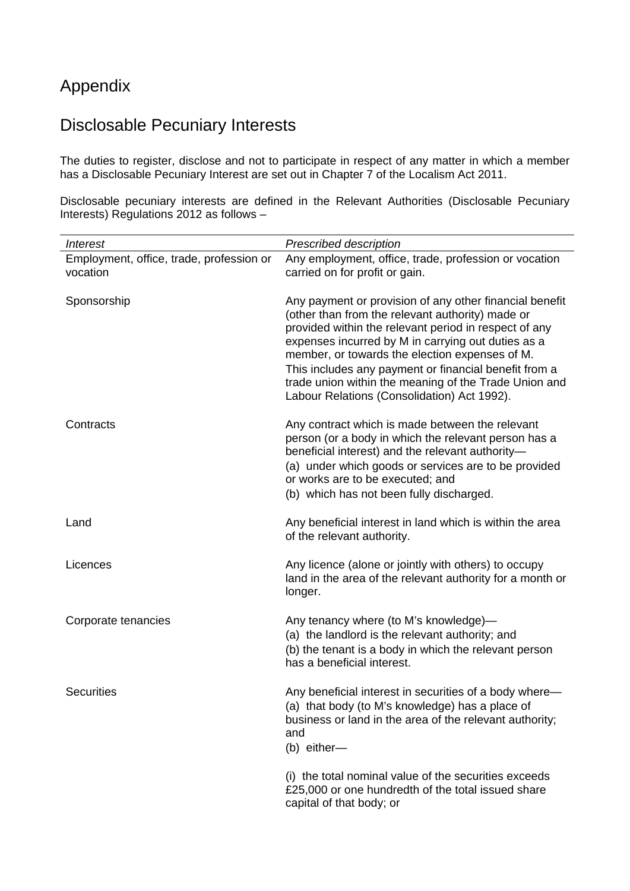## Appendix

# Disclosable Pecuniary Interests

The duties to register, disclose and not to participate in respect of any matter in which a member has a Disclosable Pecuniary Interest are set out in Chapter 7 of the Localism Act 2011.

Disclosable pecuniary interests are defined in the Relevant Authorities (Disclosable Pecuniary Interests) Regulations 2012 as follows –

| <b>Interest</b>                                      | Prescribed description                                                                                                                                                                                                                                                                                                                                                                                                                        |
|------------------------------------------------------|-----------------------------------------------------------------------------------------------------------------------------------------------------------------------------------------------------------------------------------------------------------------------------------------------------------------------------------------------------------------------------------------------------------------------------------------------|
| Employment, office, trade, profession or<br>vocation | Any employment, office, trade, profession or vocation<br>carried on for profit or gain.                                                                                                                                                                                                                                                                                                                                                       |
| Sponsorship                                          | Any payment or provision of any other financial benefit<br>(other than from the relevant authority) made or<br>provided within the relevant period in respect of any<br>expenses incurred by M in carrying out duties as a<br>member, or towards the election expenses of M.<br>This includes any payment or financial benefit from a<br>trade union within the meaning of the Trade Union and<br>Labour Relations (Consolidation) Act 1992). |
| Contracts                                            | Any contract which is made between the relevant<br>person (or a body in which the relevant person has a<br>beneficial interest) and the relevant authority-<br>(a) under which goods or services are to be provided<br>or works are to be executed; and<br>(b) which has not been fully discharged.                                                                                                                                           |
| Land                                                 | Any beneficial interest in land which is within the area<br>of the relevant authority.                                                                                                                                                                                                                                                                                                                                                        |
| Licences                                             | Any licence (alone or jointly with others) to occupy<br>land in the area of the relevant authority for a month or<br>longer.                                                                                                                                                                                                                                                                                                                  |
| Corporate tenancies                                  | Any tenancy where (to M's knowledge)-<br>(a) the landlord is the relevant authority; and<br>(b) the tenant is a body in which the relevant person<br>has a beneficial interest.                                                                                                                                                                                                                                                               |
| <b>Securities</b>                                    | Any beneficial interest in securities of a body where-<br>(a) that body (to M's knowledge) has a place of<br>business or land in the area of the relevant authority;<br>and<br>(b) either-                                                                                                                                                                                                                                                    |
|                                                      | (i) the total nominal value of the securities exceeds<br>£25,000 or one hundredth of the total issued share<br>capital of that body; or                                                                                                                                                                                                                                                                                                       |